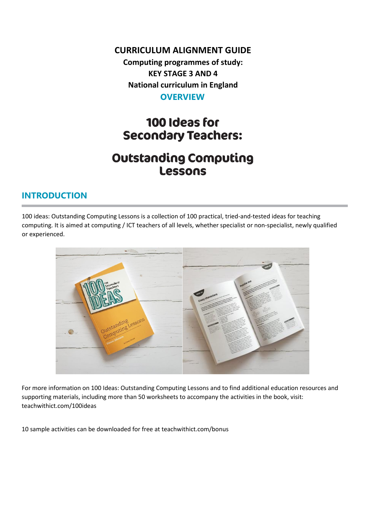#### **CURRICULUM ALIGNMENT GUIDE**

**Computing programmes of study: KEY STAGE 3 AND 4 National curriculum in England OVERVIEW**

# 100 Ideas for **Secondary Teachers:**

# **Outstanding Computing** Lessons

#### **INTRODUCTION**

100 ideas: Outstanding Computing Lessons is a collection of 100 practical, tried-and-tested ideas for teaching computing. It is aimed at computing / ICT teachers of all levels, whether specialist or non-specialist, newly qualified or experienced.



For more information on 100 Ideas: Outstanding Computing Lessons and to find additional education resources and supporting materials, including more than 50 worksheets to accompany the activities in the book, visit: teachwithict.com/100ideas

10 sample activities can be downloaded for free at teachwithict.com/bonus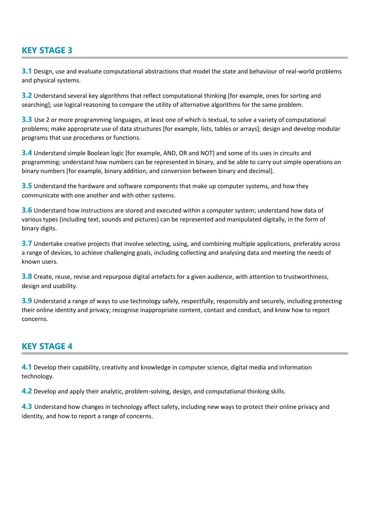#### **KEY STAGE 3**

**3.1** Design, use and evaluate computational abstractions that model the state and behaviour of real-world problems and physical systems.

**3.2** Understand several key algorithms that reflect computational thinking [for example, ones for sorting and searching]; use logical reasoning to compare the utility of alternative algorithms for the same problem.

**3.3** Use 2 or more programming languages, at least one of which is textual, to solve a variety of computational problems; make appropriate use of data structures [for example, lists, tables or arrays]; design and develop modular programs that use procedures or functions.

**3.4** Understand simple Boolean logic [for example, AND, OR and NOT] and some of its uses in circuits and programming; understand how numbers can be represented in binary, and be able to carry out simple operations on binary numbers [for example, binary addition, and conversion between binary and decimal].

**3.5** Understand the hardware and software components that make up computer systems, and how they communicate with one another and with other systems.

**3.6** Understand how instructions are stored and executed within a computer system; understand how data of various types (including text, sounds and pictures) can be represented and manipulated digitally, in the form of binary digits.

**3.7** Undertake creative projects that involve selecting, using, and combining multiple applications, preferably across a range of devices, to achieve challenging goals, including collecting and analysing data and meeting the needs of known users.

**3.8** Create, reuse, revise and repurpose digital artefacts for a given audience, with attention to trustworthiness, design and usability.

**3.9** Understand a range of ways to use technology safely, respectfully, responsibly and securely, including protecting their online identity and privacy; recognise inappropriate content, contact and conduct, and know how to report concerns.

#### **KEY STAGE 4**

**4.1** Develop their capability, creativity and knowledge in computer science, digital media and information technology.

**4.2** Develop and apply their analytic, problem-solving, design, and computational thinking skills.

**4.3** Understand how changes in technology affect safety, including new ways to protect their online privacy and identity, and how to report a range of concerns.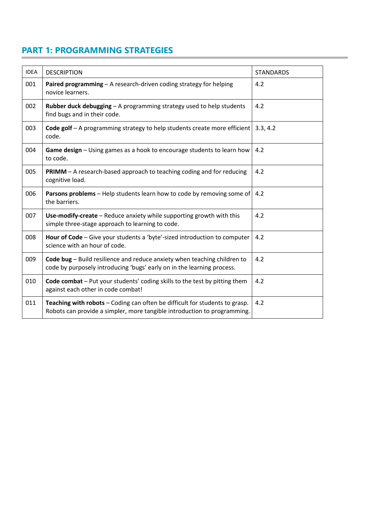### **PART 1: PROGRAMMING STRATEGIES**

| <b>IDEA</b> | <b>DESCRIPTION</b>                                                                                                                                      | <b>STANDARDS</b> |
|-------------|---------------------------------------------------------------------------------------------------------------------------------------------------------|------------------|
| 001         | Paired programming - A research-driven coding strategy for helping<br>novice learners.                                                                  | 4.2              |
| 002         | Rubber duck debugging - A programming strategy used to help students<br>find bugs and in their code.                                                    | 4.2              |
| 003         | Code golf - A programming strategy to help students create more efficient<br>code.                                                                      | 3.3, 4.2         |
| 004         | Game design - Using games as a hook to encourage students to learn how<br>to code.                                                                      | 4.2              |
| 005         | PRIMM - A research-based approach to teaching coding and for reducing<br>cognitive load.                                                                | 4.2              |
| 006         | Parsons problems - Help students learn how to code by removing some of<br>the barriers.                                                                 | 4.2              |
| 007         | Use-modify-create - Reduce anxiety while supporting growth with this<br>simple three-stage approach to learning to code.                                | 4.2              |
| 008         | Hour of Code – Give your students a 'byte'-sized introduction to computer<br>science with an hour of code.                                              | 4.2              |
| 009         | Code bug - Build resilience and reduce anxiety when teaching children to<br>code by purposely introducing 'bugs' early on in the learning process.      | 4.2              |
| 010         | Code combat - Put your students' coding skills to the test by pitting them<br>against each other in code combat!                                        | 4.2              |
| 011         | Teaching with robots - Coding can often be difficult for students to grasp.<br>Robots can provide a simpler, more tangible introduction to programming. | 4.2              |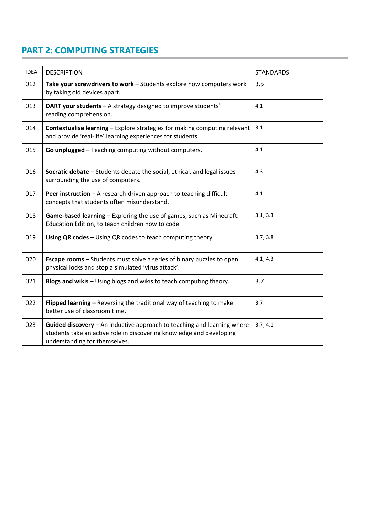# **PART 2: COMPUTING STRATEGIES**

| <b>IDEA</b> | <b>DESCRIPTION</b>                                                                                                                                                               | <b>STANDARDS</b> |
|-------------|----------------------------------------------------------------------------------------------------------------------------------------------------------------------------------|------------------|
| 012         | Take your screwdrivers to work - Students explore how computers work<br>by taking old devices apart.                                                                             | 3.5              |
| 013         | DART your students - A strategy designed to improve students'<br>reading comprehension.                                                                                          | 4.1              |
| 014         | <b>Contextualise learning - Explore strategies for making computing relevant</b><br>and provide 'real-life' learning experiences for students.                                   | 3.1              |
| 015         | Go unplugged - Teaching computing without computers.                                                                                                                             | 4.1              |
| 016         | Socratic debate - Students debate the social, ethical, and legal issues<br>surrounding the use of computers.                                                                     | 4.3              |
| 017         | Peer instruction - A research-driven approach to teaching difficult<br>concepts that students often misunderstand.                                                               | 4.1              |
| 018         | Game-based learning - Exploring the use of games, such as Minecraft:<br>Education Edition, to teach children how to code.                                                        | 3.1, 3.3         |
| 019         | Using QR codes - Using QR codes to teach computing theory.                                                                                                                       | 3.7, 3.8         |
| 020         | <b>Escape rooms</b> - Students must solve a series of binary puzzles to open<br>physical locks and stop a simulated 'virus attack'.                                              | 4.1, 4.3         |
| 021         | Blogs and wikis - Using blogs and wikis to teach computing theory.                                                                                                               | 3.7              |
| 022         | Flipped learning - Reversing the traditional way of teaching to make<br>better use of classroom time.                                                                            | 3.7              |
| 023         | Guided discovery - An inductive approach to teaching and learning where<br>students take an active role in discovering knowledge and developing<br>understanding for themselves. | 3.7, 4.1         |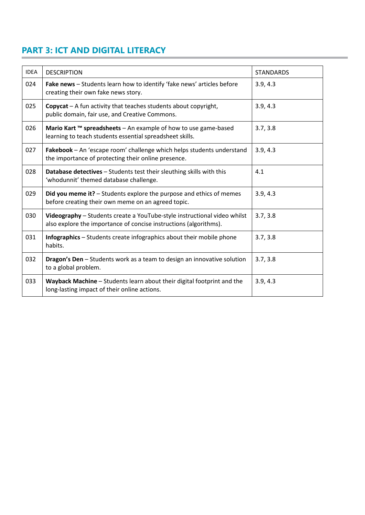# **PART 3: ICT AND DIGITAL LITERACY**

| <b>IDEA</b> | <b>DESCRIPTION</b>                                                                                                                            | <b>STANDARDS</b> |
|-------------|-----------------------------------------------------------------------------------------------------------------------------------------------|------------------|
| 024         | Fake news - Students learn how to identify 'fake news' articles before<br>creating their own fake news story.                                 | 3.9, 4.3         |
| 025         | <b>Copycat</b> $-$ A fun activity that teaches students about copyright,<br>public domain, fair use, and Creative Commons.                    | 3.9, 4.3         |
| 026         | Mario Kart ™ spreadsheets - An example of how to use game-based<br>learning to teach students essential spreadsheet skills.                   | 3.7, 3.8         |
| 027         | Fakebook - An 'escape room' challenge which helps students understand<br>the importance of protecting their online presence.                  | 3.9, 4.3         |
| 028         | <b>Database detectives</b> - Students test their sleuthing skills with this<br>'whodunnit' themed database challenge.                         | 4.1              |
| 029         | Did you meme it? - Students explore the purpose and ethics of memes<br>before creating their own meme on an agreed topic.                     | 3.9, 4.3         |
| 030         | Videography - Students create a YouTube-style instructional video whilst<br>also explore the importance of concise instructions (algorithms). | 3.7, 3.8         |
| 031         | <b>Infographics</b> – Students create infographics about their mobile phone<br>habits.                                                        | 3.7, 3.8         |
| 032         | Dragon's Den - Students work as a team to design an innovative solution<br>to a global problem.                                               | 3.7, 3.8         |
| 033         | Wayback Machine - Students learn about their digital footprint and the<br>long-lasting impact of their online actions.                        | 3.9, 4.3         |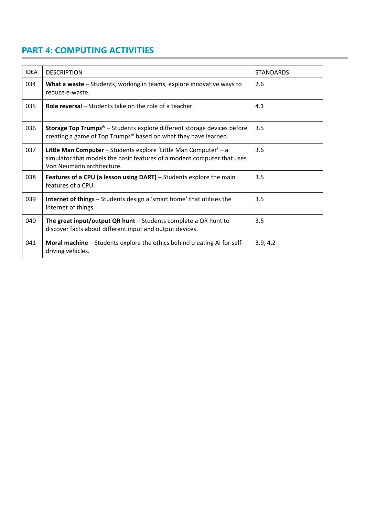# **PART 4: COMPUTING ACTIVITIES**

| <b>IDEA</b> | <b>DESCRIPTION</b>                                                                                                                                                       | <b>STANDARDS</b> |
|-------------|--------------------------------------------------------------------------------------------------------------------------------------------------------------------------|------------------|
| 034         | What a waste – Students, working in teams, explore innovative ways to<br>reduce e-waste.                                                                                 | 2.6              |
| 035         | <b>Role reversal – Students take on the role of a teacher.</b>                                                                                                           | 4.1              |
| 036         | <b>Storage Top Trumps<sup>®</sup></b> - Students explore different storage devices before<br>creating a game of Top Trumps® based on what they have learned.             | 3.5              |
| 037         | Little Man Computer - Students explore 'Little Man Computer' - a<br>simulator that models the basic features of a modern computer that uses<br>Von Neumann architecture. | 3.6              |
| 038         | <b>Features of a CPU (a lesson using DART)</b> – Students explore the main<br>features of a CPU.                                                                         | 3.5              |
| 039         | <b>Internet of things</b> – Students design a 'smart home' that utilises the<br>internet of things.                                                                      | 3.5              |
| 040         | The great input/output QR hunt $-$ Students complete a QR hunt to<br>discover facts about different input and output devices.                                            | 3.5              |
| 041         | Moral machine - Students explore the ethics behind creating AI for self-<br>driving vehicles.                                                                            | 3.9, 4.2         |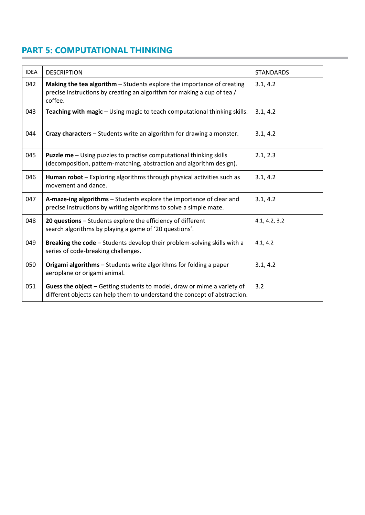## **PART 5: COMPUTATIONAL THINKING**

| <b>IDEA</b> | <b>DESCRIPTION</b>                                                                                                                                           | <b>STANDARDS</b> |
|-------------|--------------------------------------------------------------------------------------------------------------------------------------------------------------|------------------|
| 042         | Making the tea algorithm - Students explore the importance of creating<br>precise instructions by creating an algorithm for making a cup of tea /<br>coffee. | 3.1, 4.2         |
| 043         | Teaching with magic - Using magic to teach computational thinking skills.                                                                                    | 3.1, 4.2         |
| 044         | Crazy characters - Students write an algorithm for drawing a monster.                                                                                        | 3.1, 4.2         |
| 045         | <b>Puzzle me</b> - Using puzzles to practise computational thinking skills<br>(decomposition, pattern-matching, abstraction and algorithm design).           | 2.1, 2.3         |
| 046         | Human robot - Exploring algorithms through physical activities such as<br>movement and dance.                                                                | 3.1, 4.2         |
| 047         | A-maze-ing algorithms - Students explore the importance of clear and<br>precise instructions by writing algorithms to solve a simple maze.                   | 3.1, 4.2         |
| 048         | 20 questions - Students explore the efficiency of different<br>search algorithms by playing a game of '20 questions'.                                        | 4.1, 4.2, 3.2    |
| 049         | Breaking the code - Students develop their problem-solving skills with a<br>series of code-breaking challenges.                                              | 4.1, 4.2         |
| 050         | Origami algorithms - Students write algorithms for folding a paper<br>aeroplane or origami animal.                                                           | 3.1, 4.2         |
| 051         | Guess the object - Getting students to model, draw or mime a variety of<br>different objects can help them to understand the concept of abstraction.         | 3.2              |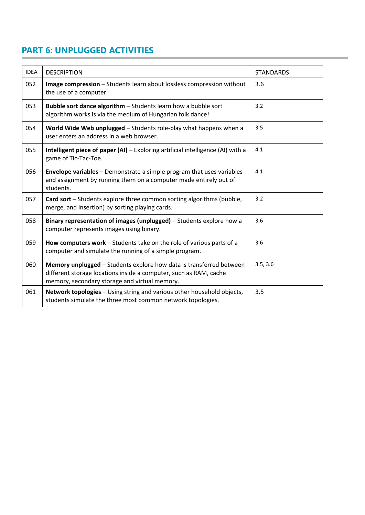# **PART 6: UNPLUGGED ACTIVITIES**

| <b>IDEA</b> | <b>DESCRIPTION</b>                                                                                                                                                                        | <b>STANDARDS</b> |
|-------------|-------------------------------------------------------------------------------------------------------------------------------------------------------------------------------------------|------------------|
| 052         | Image compression - Students learn about lossless compression without<br>the use of a computer.                                                                                           | 3.6              |
| 053         | Bubble sort dance algorithm - Students learn how a bubble sort<br>algorithm works is via the medium of Hungarian folk dance!                                                              | 3.2              |
| 054         | World Wide Web unplugged - Students role-play what happens when a<br>user enters an address in a web browser.                                                                             | 3.5              |
| 055         | Intelligent piece of paper (AI) - Exploring artificial intelligence (AI) with a<br>game of Tic-Tac-Toe.                                                                                   | 4.1              |
| 056         | <b>Envelope variables</b> – Demonstrate a simple program that uses variables<br>and assignment by running them on a computer made entirely out of<br>students.                            | 4.1              |
| 057         | Card sort - Students explore three common sorting algorithms (bubble,<br>merge, and insertion) by sorting playing cards.                                                                  | 3.2              |
| 058         | Binary representation of images (unplugged) – Students explore how a<br>computer represents images using binary.                                                                          | 3.6              |
| 059         | How computers work - Students take on the role of various parts of a<br>computer and simulate the running of a simple program.                                                            | 3.6              |
| 060         | Memory unplugged - Students explore how data is transferred between<br>different storage locations inside a computer, such as RAM, cache<br>memory, secondary storage and virtual memory. | 3.5, 3.6         |
| 061         | Network topologies - Using string and various other household objects,<br>students simulate the three most common network topologies.                                                     | 3.5              |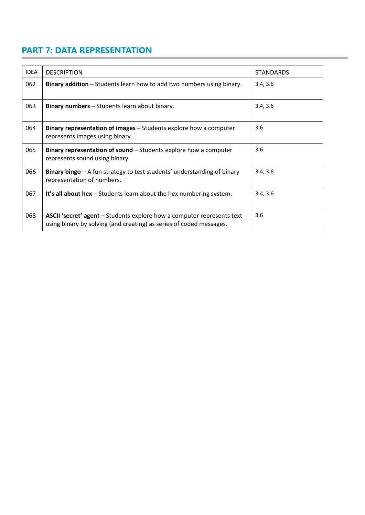# **PART 7: DATA REPRESENTATION**

| <b>IDEA</b> | <b>DESCRIPTION</b>                                                                                                                                   | <b>STANDARDS</b> |
|-------------|------------------------------------------------------------------------------------------------------------------------------------------------------|------------------|
| 062         | <b>Binary addition</b> – Students learn how to add two numbers using binary.                                                                         | 3.4, 3.6         |
| 063         | <b>Binary numbers</b> – Students learn about binary.                                                                                                 | 3.4, 3.6         |
| 064         | Binary representation of images - Students explore how a computer<br>represents images using binary.                                                 | 3.6              |
| 065         | Binary representation of sound – Students explore how a computer<br>represents sound using binary.                                                   | 3.6              |
| 066         | Binary bingo – A fun strategy to test students' understanding of binary<br>representation of numbers.                                                | 3.4, 3.6         |
| 067         | It's all about hex $-$ Students learn about the hex numbering system.                                                                                | 3.4, 3.6         |
| 068         | <b>ASCII 'secret' agent</b> – Students explore how a computer represents text<br>using binary by solving (and creating) as series of coded messages. | 3.6              |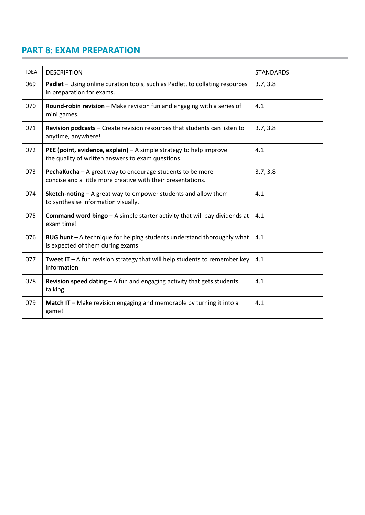## **PART 8: EXAM PREPARATION**

| <b>IDEA</b> | <b>DESCRIPTION</b>                                                                                                        | <b>STANDARDS</b> |
|-------------|---------------------------------------------------------------------------------------------------------------------------|------------------|
| 069         | Padlet - Using online curation tools, such as Padlet, to collating resources<br>in preparation for exams.                 | 3.7, 3.8         |
| 070         | Round-robin revision - Make revision fun and engaging with a series of<br>mini games.                                     | 4.1              |
| 071         | Revision podcasts - Create revision resources that students can listen to<br>anytime, anywhere!                           | 3.7, 3.8         |
| 072         | PEE (point, evidence, explain) $-$ A simple strategy to help improve<br>the quality of written answers to exam questions. | 4.1              |
| 073         | PechaKucha - A great way to encourage students to be more<br>concise and a little more creative with their presentations. | 3.7, 3.8         |
| 074         | Sketch-noting - A great way to empower students and allow them<br>to synthesise information visually.                     | 4.1              |
| 075         | <b>Command word bingo</b> $-$ A simple starter activity that will pay dividends at<br>exam time!                          | 4.1              |
| 076         | BUG hunt - A technique for helping students understand thoroughly what<br>is expected of them during exams.               | 4.1              |
| 077         | <b>Tweet IT</b> $-$ A fun revision strategy that will help students to remember key<br>information.                       | 4.1              |
| 078         | <b>Revision speed dating - A fun and engaging activity that gets students</b><br>talking.                                 | 4.1              |
| 079         | Match IT - Make revision engaging and memorable by turning it into a<br>game!                                             | 4.1              |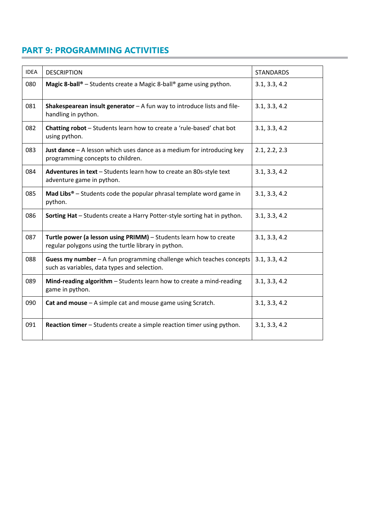## **PART 9: PROGRAMMING ACTIVITIES**

| <b>IDEA</b> | <b>DESCRIPTION</b>                                                                                                         | <b>STANDARDS</b> |
|-------------|----------------------------------------------------------------------------------------------------------------------------|------------------|
| 080         | <b>Magic 8-ball</b> <sup>®</sup> - Students create a Magic 8-ball <sup>®</sup> game using python.                          | 3.1, 3.3, 4.2    |
| 081         | Shakespearean insult generator $-$ A fun way to introduce lists and file-<br>handling in python.                           | 3.1, 3.3, 4.2    |
| 082         | Chatting robot - Students learn how to create a 'rule-based' chat bot<br>using python.                                     | 3.1, 3.3, 4.2    |
| 083         | Just dance $-$ A lesson which uses dance as a medium for introducing key<br>programming concepts to children.              | 2.1, 2.2, 2.3    |
| 084         | Adventures in text - Students learn how to create an 80s-style text<br>adventure game in python.                           | 3.1, 3.3, 4.2    |
| 085         | <b>Mad Libs<sup>®</sup></b> – Students code the popular phrasal template word game in<br>python.                           | 3.1, 3.3, 4.2    |
| 086         | Sorting Hat - Students create a Harry Potter-style sorting hat in python.                                                  | 3.1, 3.3, 4.2    |
| 087         | Turtle power (a lesson using PRIMM) - Students learn how to create<br>regular polygons using the turtle library in python. | 3.1, 3.3, 4.2    |
| 088         | Guess my number $-$ A fun programming challenge which teaches concepts<br>such as variables, data types and selection.     | 3.1, 3.3, 4.2    |
| 089         | Mind-reading algorithm - Students learn how to create a mind-reading<br>game in python.                                    | 3.1, 3.3, 4.2    |
| 090         | Cat and mouse $-$ A simple cat and mouse game using Scratch.                                                               | 3.1, 3.3, 4.2    |
| 091         | Reaction timer - Students create a simple reaction timer using python.                                                     | 3.1, 3.3, 4.2    |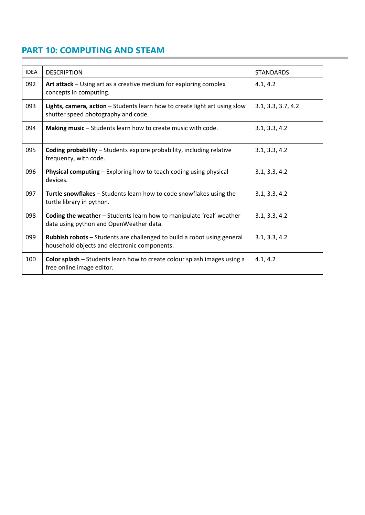## **PART 10: COMPUTING AND STEAM**

| <b>IDEA</b> | <b>DESCRIPTION</b>                                                                                                      | <b>STANDARDS</b>   |
|-------------|-------------------------------------------------------------------------------------------------------------------------|--------------------|
| 092         | Art attack - Using art as a creative medium for exploring complex<br>concepts in computing.                             | 4.1, 4.2           |
| 093         | Lights, camera, action - Students learn how to create light art using slow<br>shutter speed photography and code.       | 3.1, 3.3, 3.7, 4.2 |
| 094         | Making music - Students learn how to create music with code.                                                            | 3.1, 3.3, 4.2      |
| 095         | <b>Coding probability</b> - Students explore probability, including relative<br>frequency, with code.                   | 3.1, 3.3, 4.2      |
| 096         | <b>Physical computing – Exploring how to teach coding using physical</b><br>devices.                                    | 3.1, 3.3, 4.2      |
| 097         | Turtle snowflakes - Students learn how to code snowflakes using the<br>turtle library in python.                        | 3.1, 3.3, 4.2      |
| 098         | Coding the weather - Students learn how to manipulate 'real' weather<br>data using python and OpenWeather data.         | 3.1, 3.3, 4.2      |
| 099         | Rubbish robots - Students are challenged to build a robot using general<br>household objects and electronic components. | 3.1, 3.3, 4.2      |
| 100         | Color splash - Students learn how to create colour splash images using a<br>free online image editor.                   | 4.1, 4.2           |